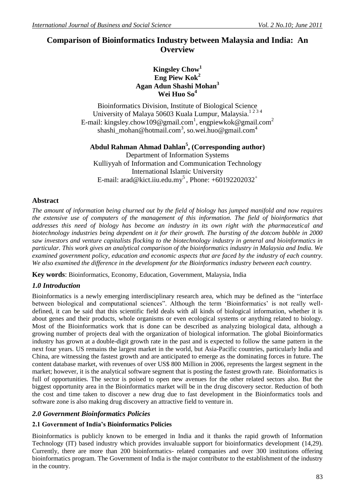# **Comparison of Bioinformatics Industry between Malaysia and India: An Overview**

## **Kingsley Chow<sup>1</sup> Eng Piew Kok<sup>2</sup> Agan Adun Shashi Mohan<sup>3</sup> Wei Huo So<sup>4</sup>**

Bioinformatics Division, Institute of Biological Science University of Malaya 50603 Kuala Lumpur, Malaysia.<sup>1234</sup> E-mail: kingsley.chow109@gmail.com<sup>1</sup>, engpiewkok@gmail.com<sup>2</sup> shashi\_mohan@hotmail.com<sup>3</sup>, [so.wei.huo@gmail.com](mailto:so.wei.huo@gmail.com4)<sup>4</sup>

**Abdul Rahman Ahmad Dahlan<sup>5</sup> , (Corresponding author)** Department of Information Systems Kulliyyah of Information and Communication Technology International Islamic University E-mail: arad@kict.iiu.edu.my<sup>5</sup>, Phone: +60192202032<sup>+</sup>

## **Abstract**

*The amount of information being churned out by the field of biology has jumped manifold and now requires the extensive use of computers of the management of this information. The field of bioinformatics that addresses this need of biology has become an industry in its own right with the pharmaceutical and biotechnology industries being dependent on it for their growth. The bursting of the dotcom bubble in 2000 saw investors and venture capitalists flocking to the biotechnology industry in general and bioinformatics in particular. This work gives an analytical comparison of the bioinformatics industry in Malaysia and India. We examined government policy, education and economic aspects that are faced by the industry of each country. We also examined the difference in the development for the Bioinformatics industry between each country.*

**Key words**: Bioinformatics, Economy, Education, Government, Malaysia, India

## *1.0 Introduction*

Bioinformatics is a newly emerging interdisciplinary research area, which may be defined as the "interface" between biological and computational sciences". Although the term 'Bioinformatics' is not really welldefined, it can be said that this scientific field deals with all kinds of biological information, whether it is about genes and their products, whole organisms or even ecological systems or anything related to biology. Most of the Bioinformatics work that is done can be described as analyzing biological data, although a growing number of projects deal with the organization of biological information. The global Bioinformatics industry has grown at a double-digit growth rate in the past and is expected to follow the same pattern in the next four years. US remains the largest market in the world, but Asia-Pacific countries, particularly India and China, are witnessing the fastest growth and are anticipated to emerge as the dominating forces in future. The content database market, with revenues of over US\$ 800 Million in 2006, represents the largest segment in the market; however, it is the analytical software segment that is posting the fastest growth rate. Bioinformatics is full of opportunities. The sector is poised to open new avenues for the other related sectors also. But the biggest opportunity area in the Bioinformatics market will be in the drug discovery sector. Reduction of both the cost and time taken to discover a new drug due to fast development in the Bioinformatics tools and software zone is also making drug discovery an attractive field to venture in.

## *2.0 Government Bioinformatics Policies*

## **2.1 Government of India's Bioinformatics Policies**

Bioinformatics is publicly known to be emerged in India and it thanks the rapid growth of Information Technology (IT) based industry which provides invaluable support for bioinformatics development (14,29). Currently, there are more than 200 bioinformatics- related companies and over 300 institutions offering bioinformatics program. The Government of India is the major contributor to the establishment of the industry in the country.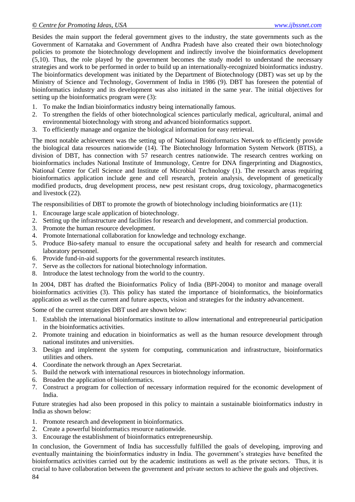Besides the main support the federal government gives to the industry, the state governments such as the Government of Karnataka and Government of Andhra Pradesh have also created their own biotechnology policies to promote the biotechnology development and indirectly involve the bioinformatics development (5,10). Thus, the role played by the government becomes the study model to understand the necessary strategies and work to be performed in order to build up an internationally-recognized bioinformatics industry. The bioinformatics development was initiated by the Department of Biotechnology (DBT) was set up by the Ministry of Science and Technology, Government of India in 1986 (9). DBT has foreseen the potential of bioinformatics industry and its development was also initiated in the same year. The initial objectives for setting up the bioinformatics program were (3):

- 1. To make the Indian bioinformatics industry being internationally famous.
- 2. To strengthen the fields of other biotechnological sciences particularly medical, agricultural, animal and environmental biotechnology with strong and advanced bioinformatics support.
- 3. To efficiently manage and organize the biological information for easy retrieval.

The most notable achievement was the setting up of National Bioinformatics Network to efficiently provide the biological data resources nationwide (14). The Biotechnology Information System Network (BTIS), a division of DBT, has connection with 57 research centres nationwide. The research centres working on bioinformatics includes National Institute of Immunology, Centre for DNA fingerprinting and Diagnostics, National Centre for Cell Science and Institute of Microbial Technology (1). The research areas requiring bioinformatics application include gene and cell research, protein analysis, development of genetically modified products, drug development process, new pest resistant crops, drug toxicology, pharmacogenetics and livestock (22).

The responsibilities of DBT to promote the growth of biotechnology including bioinformatics are (11):

- 1. Encourage large scale application of biotechnology.
- 2. Setting up the infrastructure and facilities for research and development, and commercial production.
- 3. Promote the human resource development.
- 4. Promote International collaboration for knowledge and technology exchange.
- 5. Produce Bio-safety manual to ensure the occupational safety and health for research and commercial laboratory personnel.
- 6. Provide fund-in-aid supports for the governmental research institutes.
- 7. Serve as the collectors for national biotechnology information.
- 8. Introduce the latest technology from the world to the country.

In 2004, DBT has drafted the Bioinformatics Policy of India (BPI-2004) to monitor and manage overall bioinformatics activities (3). This policy has stated the importance of bioinformatics, the bioinformatics application as well as the current and future aspects, vision and strategies for the industry advancement.

Some of the current strategies DBT used are shown below:

- 1. Establish the international bioinformatics institute to allow international and entrepreneurial participation in the bioinformatics activities.
- 2. Promote training and education in bioinformatics as well as the human resource development through national institutes and universities.
- 3. Design and implement the system for computing, communication and infrastructure, bioinformatics utilities and others.
- 4. Coordinate the network through an Apex Secretariat.
- 5. Build the network with international resources in biotechnology information.
- 6. Broaden the application of bioinformatics.
- 7. Construct a program for collection of necessary information required for the economic development of India.

Future strategies had also been proposed in this policy to maintain a sustainable bioinformatics industry in India as shown below:

- 1. Promote research and development in bioinformatics.
- 2. Create a powerful bioinformatics resource nationwide.
- 3. Encourage the establishment of bioinformatics entrepreneurship.

In conclusion, the Government of India has successfully fulfilled the goals of developing, improving and eventually maintaining the bioinformatics industry in India. The government's strategies have benefited the bioinformatics activities carried out by the academic institutions as well as the private sectors. Thus, it is crucial to have collaboration between the government and private sectors to achieve the goals and objectives.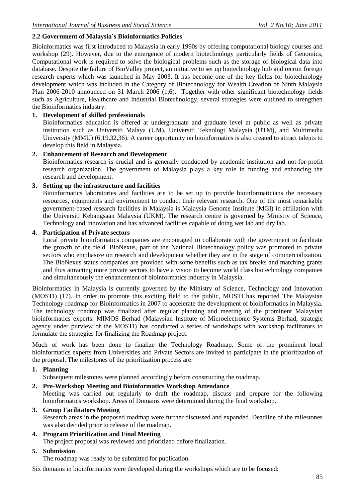## **2.2 Government of Malaysia's Bioinformatics Policies**

Bioinformatics was first introduced to Malaysia in early 1990s by offering computational biology courses and workshop (29). However, due to the emergence of modern biotechnology particularly fields of Genomics, Computational work is required to solve the biological problems such as the storage of biological data into database. Despite the failure of BioValley project, an initiative to set up biotechnology hub and recruit foreign research experts which was launched in May 2003, It has become one of the key fields for biotechnology development which was included in the Category of Biotechnology for Wealth Creation of Ninth Malaysia Plan 2006-2010 announced on 31 March 2006 (1,6). Together with other significant biotechnology fields such as Agriculture, Healthcare and Industrial Biotechnology, several strategies were outlined to strengthen the Bioinformatics industry:

## **1. Development of skilled professionals**

Bioinformatics education is offered at undergraduate and graduate level at public as well as private institution such as Universiti Malaya (UM), Universiti Teknologi Malaysia (UTM), and Multimedia University (MMU) (6,19,32,36). A career opportunity on bioinformatics is also created to attract talents to develop this field in Malaysia.

#### **2. Enhancement of Research and Development**

Bioinformatics research is crucial and is generally conducted by academic institution and not-for-profit research organization. The government of Malaysia plays a key role in funding and enhancing the research and development.

## **3. Setting up the infrastructure and facilities**

Bioinformatics laboratories and facilities are to be set up to provide bioinformaticians the necessary resources, equipments and environment to conduct their relevant research. One of the most remarkable government-based research facilities in Malaysia is Malaysia Genome Institute (MGI) in affiliation with the Universiti Kebangsaan Malaysia (UKM). The research centre is governed by Ministry of Science, Technology and Innovation and has advanced facilities capable of doing wet lab and dry lab.

#### **4. Participation of Private sectors**

Local private bioinformatics companies are encouraged to collaborate with the government to facilitate the growth of the field. BioNexus, part of the National Biotechnology policy was promoted to private sectors who emphasize on research and development whether they are in the stage of commercialization. The BioNexus status companies are provided with some benefits such as tax breaks and matching grants and thus attracting more private sectors to have a vision to become world class biotechnology companies and simultaneously the enhancement of bioinformatics industry in Malaysia.

Bioinformatics in Malaysia is currently governed by the Ministry of Science, Technology and Innovation (MOSTI) (17). In order to promote this exciting field to the public, MOSTI has reported The Malaysian Technology roadmap for Bioinformatics in 2007 to accelerate the development of bioinformatics in Malaysia. The technology roadmap was finalized after regular planning and meeting of the prominent Malaysian bioinformatics experts. MIMOS Berhad (Malaysian Institute of Microelectronic Systems Berhad, strategic agency under purview of the MOSTI) has conducted a series of workshops with workshop facilitators to formulate the strategies for finalizing the Roadmap project.

Much of work has been done to finalize the Technology Roadmap. Some of the prominent local bioinformatics experts from Universities and Private Sectors are invited to participate in the prioritization of the proposal. The milestones of the prioritization process are:

#### **1. Planning**

Subsequent milestones were planned accordingly before constructing the roadmap.

**2. Pre-Workshop Meeting and Bioinformatics Workshop Attendance** 

Meeting was carried out regularly to draft the roadmap, discuss and prepare for the following bioinformatics workshop. Areas of Domains were determined during the final workshop.

#### **3. Group Facilitators Meeting**

Research areas in the proposed roadmap were further discussed and expanded. Deadline of the milestones was also decided prior to release of the roadmap.

#### **4. Program Prioritization and Final Meeting**  The project proposal was reviewed and prioritized before finalization.

## **5. Submission**

The roadmap was ready to be submitted for publication.

Six domains in bioinformatics were developed during the workshops which are to be focused: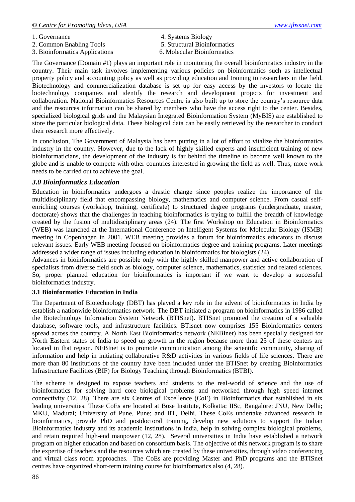- 1. Governance 4. Systems Biology
- 2. Common Enabling Tools 5. Structural Bioinformatics
- 3. Bioinformatics Applications 6. Molecular Bioinformatics
- 
- -

The Governance (Domain #1) plays an important role in monitoring the overall bioinformatics industry in the country. Their main task involves implementing various policies on bioinformatics such as intellectual property policy and accounting policy as well as providing education and training to researchers in the field. Biotechnology and commercialization database is set up for easy access by the investors to locate the biotechnology companies and identify the research and development projects for investment and collaboration. National Bioinformatics Resources Centre is also built up to store the country's resource data and the resources information can be shared by members who have the access right to the center. Besides, specialized biological grids and the Malaysian Integrated Bioinformation System (MyBIS) are established to store the particular biological data. These biological data can be easily retrieved by the researcher to conduct their research more effectively.

In conclusion, The Government of Malaysia has been putting in a lot of effort to vitalize the bioinformatics industry in the country. However, due to the lack of highly skilled experts and insufficient training of new bioinformaticians, the development of the industry is far behind the timeline to become well known to the globe and is unable to compete with other countries interested in growing the field as well. Thus, more work needs to be carried out to achieve the goal.

## *3.0 Bioinformatics Education*

Education in bioinformatics undergoes a drastic change since peoples realize the importance of the multidisciplinary field that encompassing biology, mathematics and computer science. From casual selfenriching courses (workshop, training, certificate) to structured degree programs (undergraduate, master, doctorate) shows that the challenges in teaching bioinformatics is trying to fulfill the breadth of knowledge created by the fusion of multidisciplinary areas (24). The first Workshop on Education in Bioinformatics (WEB) was launched at the International Conference on Intelligent Systems for Molecular Biology (ISMB) meeting in Copenhagen in 2001. WEB meeting provides a forum for bioinformatics educators to discuss relevant issues. Early WEB meeting focused on bioinformatics degree and training programs. Later meetings addressed a wider range of issues including education in bioinformatics for biologists (24).

Advances in bioinformatics are possible only with the highly skilled manpower and active collaboration of specialists from diverse field such as biology, computer science, mathematics, statistics and related sciences. So, proper planned education for bioinformatics is important if we want to develop a successful bioinformatics industry.

## **3.1 Bioinformatics Education in India**

The Department of Biotechnology (DBT) has played a key role in the advent of bioinformatics in India by establish a nationwide bioinformatics network. The DBT initiated a program on bioinformatics in 1986 called the Biotechnology Information System Network (BTISnet). BTISnet promoted the creation of a valuable database, software tools, and infrastructure facilities. BTisnet now comprises 155 Bioinformatics centers spread across the country. A North East Bioinformatics network (NEBInet) has been specially designed for North Eastern states of India to speed up growth in the region because more than 25 of these centers are located in that region. NEBInet is to promote communication among the scientific community, sharing of information and help in initiating collaborative R&D activities in various fields of life sciences. There are more than 80 institutions of the country have been included under the BTISnet by creating Bioinformatics Infrastructure Facilities (BIF) for Biology Teaching through Bioinformatics (BTBI).

The scheme is designed to expose teachers and students to the real-world of science and the use of bioinformatics for solving hard core biological problems and networked through high speed internet connectivity (12, 28). There are six Centres of Excellence (CoE) in Bioinformatics that established in six leading universities. These CoEs are located at Bose Institute, Kolkatta; IISc, Bangalore; JNU, New Delhi; MKU, Madurai; University of Pune, Pune; and IIT, Delhi. These CoEs undertake advanced research in bioinformatics, provide PhD and postdoctoral training, develop new solutions to support the Indian Bioinformatics industry and its academic institutions in India, help in solving complex biological problems, and retain required high-end manpower (12, 28). Several universities in India have established a network program on higher education and based on consortium basis. The objective of this network program is to share the expertise of teachers and the resources which are created by these universities, through video conferencing and virtual class room approaches. The CoEs are providing Master and PhD programs and the BTISnet centres have organized short-term training course for bioinformatics also (4, 28).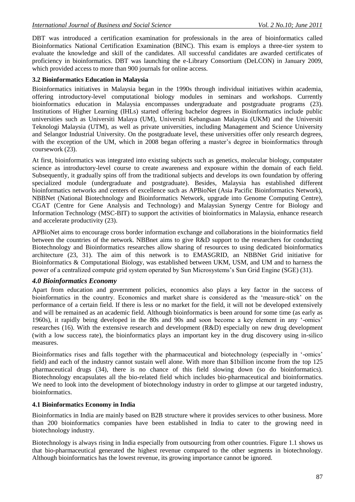DBT was introduced a certification examination for professionals in the area of bioinformatics called Bioinformatics National Certification Examination (BINC). This exam is employs a three-tier system to evaluate the knowledge and skill of the candidates. All successful candidates are awarded certificates of proficiency in bioinformatics. DBT was launching the e-Library Consortium (DeLCON) in January 2009, which provided access to more than 900 journals for online access.

### **3.2 Bioinformatics Education in Malaysia**

Bioinformatics initiatives in Malaysia began in the 1990s through individual initiatives within academia, offering introductory-level computational biology modules in seminars and workshops. Currently bioinformatics education in Malaysia encompasses undergraduate and postgraduate programs (23). Institutions of Higher Learning (IHLs) started offering bachelor degrees in Bioinformatics include public universities such as Universiti Malaya (UM), Universiti Kebangsaan Malaysia (UKM) and the Universiti Teknologi Malaysia (UTM), as well as private universities, including Management and Science University and Selangor Industrial University. On the postgraduate level, these universities offer only research degrees, with the exception of the UM, which in 2008 began offering a master's degree in bioinformatics through coursework (23).

At first, bioinformatics was integrated into existing subjects such as genetics, molecular biology, computater science as introductory-level course to create awareness and exposure within the domain of each field. Subsequently, it gradually spins off from the traditional subjects and develops its own foundation by offering specialized module (undergraduate and postgraduate). Besides, Malaysia has established different bioinformatics networks and centers of excellence such as APBioNet (Asia Pacific Bioinformatics Network), NBBNet (National Biotechnology and Bioinformatics Network, upgrade into Genome Computing Centre), CGAT (Centre for Gene Analysis and Technology) and Malaysian Synergy Centre for Biology and Information Technology (MSC-BIT) to support the activities of bioinformatics in Malaysia, enhance research and accelerate productivity (23).

APBioNet aims to encourage cross border information exchange and collaborations in the bioinformatics field between the countries of the network. NBBnet aims to give R&D support to the researchers for conducting Biotechnology and Bioinformatics researches allow sharing of resources to using dedicated bioinformatics architecture (23, 31). The aim of this network is to EMASGRID, an NBBNet Grid initiative for Bioinformatics & Computational Biology, was established between UKM, USM, and UM and to harness the power of a centralized compute grid system operated by Sun Microsystems's Sun Grid Engine (SGE) (31).

## *4.0 Bioinformatics Economy*

Apart from education and government policies, economics also plays a key factor in the success of bioinformatics in the country. Economics and market share is considered as the 'measure-stick' on the performance of a certain field. If there is less or no market for the field, it will not be developed extensively and will be remained as an academic field. Although bioinformatics is been around for some time (as early as 1960s), it rapidly being developed in the 80s and 90s and soon become a key element in any ‗-omics' researches (16). With the extensive research and development (R&D) especially on new drug development (with a low success rate), the bioinformatics plays an important key in the drug discovery using in-silico measures.

Bioinformatics rises and falls together with the pharmaceutical and biotechnology (especially in '-omics' field) and each of the industry cannot sustain well alone. With more than \$1billion income from the top 125 pharmaceutical drugs (34), there is no chance of this field slowing down (so do bioinformatics). Biotechnology encapsulates all the bio-related field which includes bio-pharmaceutical and bioinformatics. We need to look into the development of biotechnology industry in order to glimpse at our targeted industry, bioinformatics.

## **4.1 Bioinformatics Economy in India**

Bioinformatics in India are mainly based on B2B structure where it provides services to other business. More than 200 bioinformatics companies have been established in India to cater to the growing need in biotechnology industry.

Biotechnology is always rising in India especially from outsourcing from other countries. Figure 1.1 shows us that bio-pharmaceutical generated the highest revenue compared to the other segments in biotechnology. Although bioinformatics has the lowest revenue, its growing importance cannot be ignored.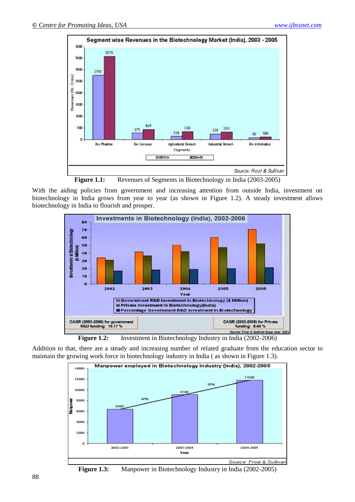

**Figure 1.1:** Revenues of Segments in Biotechnology in India (2003-2005)

With the aiding policies from government and increasing attention from outside India, investment on biotechnology in India grows from year to year (as shown in Figure 1.2). A steady investment allows biotechnology in India to flourish and prosper.



**Figure 1.2:** Investment in Biotechnology Industry in India (2002-2006)

Addition to that, there are a steady and increasing number of related graduate from the education sector to maintain the growing work force in biotechnology industry in India ( as shown in Figure 1.3).



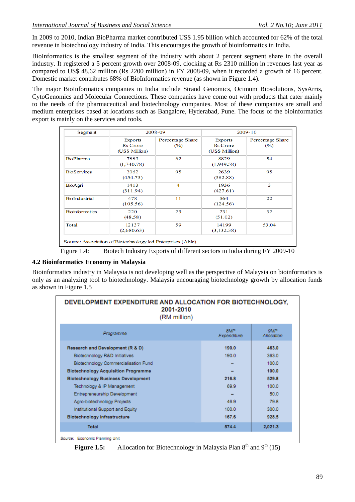In 2009 to 2010, Indian BioPharma market contributed US\$ 1.95 billion which accounted for 62% of the total revenue in biotechnology industry of India. This encourages the growth of bioinformatics in India.

BioInformatics is the smallest segment of the industry with about 2 percent segment share in the overall industry. It registered a 5 percent growth over 2008-09, clocking at Rs 2310 million in revenues last year as compared to US\$ 48.62 million (Rs 2200 million) in FY 2008-09, when it recorded a growth of 16 percent. Domestic market contributes 68% of BioInformatics revenue (as shown in Figure 1.4).

The major BioInformatics companies in India include Strand Genomics, Ocimum Biosolutions, SysArris, CytoGenomics and Molecular Connections. These companies have come out with products that cater mainly to the needs of the pharmaceutical and biotechnology companies. Most of these companies are small and medium enterprises based at locations such as Bangalore, Hyderabad, Pune. The focus of the bioinformatics export is mainly on the services and tools.

| Segment               | 2008-09                                             |                            | $2009 - 10$                                         |                                   |
|-----------------------|-----------------------------------------------------|----------------------------|-----------------------------------------------------|-----------------------------------|
|                       | <b>Exports</b><br><b>Rs</b> Crore<br>(US\$ Million) | Percentage Share<br>$(\%)$ | <b>Exports</b><br><b>Rs</b> Crore<br>(US\$ Million) | Percentage Share<br>$\frac{9}{6}$ |
| <b>BioPharma</b>      | 7883<br>(1,740.78)                                  | 62                         | 8829<br>(1,949.58)                                  | 54                                |
| <b>BioServices</b>    | 2062<br>(454.75)                                    | 95                         | 2639<br>(582.88)                                    | 95                                |
| BioAgri               | 1413<br>(311.94)                                    | 4                          | 1936<br>(427.61)                                    | 3                                 |
| <b>BioIndustrial</b>  | 478<br>(105.56)                                     | 11                         | 564<br>(124.56)                                     | 22                                |
| <b>Bioinformatics</b> | 220<br>(48.58)                                      | 23                         | 231<br>(51.02)                                      | 32                                |
| Total                 | 12137<br>(2,680.63)                                 | 59                         | 14199<br>(3,132.38)                                 | 53.04                             |

Figure 1.4: Biotech Industry Exports of different sectors in India during FY 2009-10

## **4.2 Bioinformatics Economy in Malaysia**

Bioinformatics industry in Malaysia is not developing well as the perspective of Malaysia on bioinformatics is only as an analyzing tool to biotechnology. Malaysia encouraging biotechnology growth by allocation funds as shown in Figure 1.5

| DEVELOPMENT EXPENDITURE AND ALLOCATION FOR BIOTECHNOLOGY,<br>2001-2010<br>(RM million)                                                                                                                                                                                                                                                                                                |                                                                    |                                                                                                 |  |  |
|---------------------------------------------------------------------------------------------------------------------------------------------------------------------------------------------------------------------------------------------------------------------------------------------------------------------------------------------------------------------------------------|--------------------------------------------------------------------|-------------------------------------------------------------------------------------------------|--|--|
| Programme                                                                                                                                                                                                                                                                                                                                                                             | 8MP<br>Expenditure                                                 | <b>SMP</b><br>Allocation                                                                        |  |  |
| Research and Development (R & D)<br>Biotechnology R&D Initiatives<br>Biotechnology Commercialisation Fund<br><b>Biotechnology Acquisition Programme</b><br><b>Biotechnology Business Development</b><br>Technology & IP Management<br>Entrepreneurship Development<br>Agro-biotechnology Projects<br>Institutional Support and Equity<br><b>Biotechnology Infrastructure</b><br>Total | 190.0<br>190.0<br>216.8<br>69.9<br>46.9<br>100.0<br>167.6<br>574.4 | 463.0<br>363.0<br>100.0<br>100.0<br>529.8<br>100.0<br>50.0<br>79.8<br>300.0<br>928.5<br>2,021.3 |  |  |
| Source: Economic Planning Unit                                                                                                                                                                                                                                                                                                                                                        |                                                                    |                                                                                                 |  |  |

**Figure 1.5:** Allocation for Biotechnology in Malaysia Plan  $8<sup>th</sup>$  and  $9<sup>th</sup> (15)$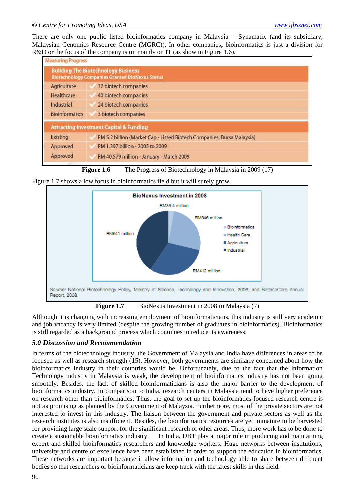There are only one public listed bioinformatics company in Malaysia – Synamatix (and its subsidiary, Malaysian Genomics Resource Centre (MGRC)). In other companies, bioinformatics is just a division for R&D or the focus of the company is on mainly on IT (as show in Figure 1.6).

| <b>Measuring Progress</b> |                                                                                                      |
|---------------------------|------------------------------------------------------------------------------------------------------|
|                           | <b>Building The Biotechnology Business</b><br><b>Biotechnology Companies Granted BioNexus Status</b> |
| Agriculture               | 37 biotech companies                                                                                 |
| Healthcare                | 40 biotech companies                                                                                 |
| Industrial                | 24 biotech companies                                                                                 |
| <b>Bioinformatics</b>     | 3 biotech companies                                                                                  |
|                           | <b>Attracting Investment Capital &amp; Funding</b>                                                   |
| <b>Existing</b>           | RM 5.2 billion (Market Cap - Listed Biotech Companies, Bursa Malaysia)                               |
| Approved                  | RM 1.397 billion - 2005 to 2009                                                                      |
| Approved                  | RM 40.579 million - January - March 2009                                                             |



Figure 1.7 shows a low focus in bioinformatics field but it will surely grow.



**Figure 1.7** BioNexus Investment in 2008 in Malaysia (7)

Although it is changing with increasing employment of bioinformaticians, this industry is still very academic and job vacancy is very limited (despite the growing number of graduates in bioinformatics). Bioinformatics is still regarded as a background process which continues to reduce its awareness.

## *5.0 Discussion and Recommendation*

In terms of the biotechnology industry, the Government of Malaysia and India have differences in areas to be focused as well as research strength (15). However, both governments are similarly concerned about how the bioinformatics industry in their countries would be. Unfortunately, due to the fact that the Information Technology industry in Malaysia is weak, the development of bioinformatics industry has not been going smoothly. Besides, the lack of skilled bioinformaticians is also the major barrier to the development of bioinformatics industry. In comparison to India, research centers in Malaysia tend to have higher preference on research other than bioinformatics. Thus, the goal to set up the bioinformatics-focused research centre is not as promising as planned by the Government of Malaysia. Furthermore, most of the private sectors are not interested to invest in this industry. The liaison between the government and private sectors as well as the research institutes is also insufficient. Besides, the bioinformatics resources are yet immature to be harvested for providing large scale support for the significant research of other areas. Thus, more work has to be done to create a sustainable bioinformatics industry. In India, DBT play a major role in producing and maintaining expert and skilled bioinformatics researchers and knowledge workers. Huge networks between institutions, university and centre of excellence have been established in order to support the education in bioinformatics. These networks are important because it allow information and technology able to share between different bodies so that researchers or bioinformaticians are keep track with the latest skills in this field.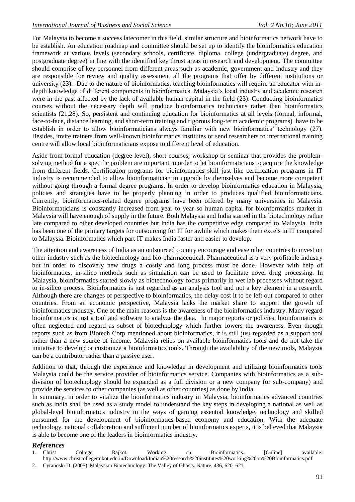For Malaysia to become a success latecomer in this field, similar structure and bioinformatics network have to be establish. An education roadmap and committee should be set up to identify the bioinformatics education framework at various levels (secondary schools, certificate, diploma, college (undergraduate) degree, and postgraduate degree) in line with the identified key thrust areas in research and development. The committee should comprise of key personnel from different areas such as academic, government and industry and they are responsible for review and quality assessment all the programs that offer by different institutions or university (23). Due to the nature of bioinformatics, teaching bioinformatics will require an educator with indepth knowledge of different components in bioinformatics. Malaysia's local industry and academic research were in the past affected by the lack of available human capital in the field (23). Conducting bioinformatics courses without the necessary depth will produce bioinformatics technicians rather than bioinformatics scientists (21,28). So, persistent and continuing education for bioinformatics at all levels (formal, informal, face-to-face, distance learning, and short-term training and rigorous long-term academic programs) have to be establish in order to allow bioinformaticians always familiar with new bioinformatics' technology (27). Besides, invite trainers from well-known bioinformatics institutes or send researchers to international training centre will allow local bioinformaticians expose to different level of education.

Aside from formal education (degree level), short courses, workshop or seminar that provides the problemsolving method for a specific problem are important in order to let bioinformaticians to acquire the knowledge from different fields. Certification programs for bioinformatics skill just like certification programs in IT industry is recommended to allow bioinformatician to upgrade by themselves and become more competent without going through a formal degree programs. In order to develop bioinformatics education in Malaysia, policies and strategies have to be properly planning in order to produces qualified bioinformaticians. Currently, bioinformatics-related degree programs have been offered by many universities in Malaysia. Bioinformaticians is constantly increased from year to year so human capital for bioinformatics market in Malaysia will have enough of supply in the future. Both Malaysia and India started in the biotechnology rather late compared to other developed countries but India has the competitive edge compared to Malaysia. India has been one of the primary targets for outsourcing for IT for awhile which makes them excels in IT compared to Malaysia. Bioinformatics which part IT makes India faster and easier to develop.

The attention and awareness of India as an outsourced country encourage and ease other countries to invest on other industry such as the biotechnology and bio-pharmaceutical. Pharmaceutical is a very profitable industry but in order to discovery new drugs a costly and long process must be done. However with help of bioinformatics, in-silico methods such as simulation can be used to facilitate novel drug processing. In Malaysia, bioinformatics started slowly as biotechnology focus primarily in wet lab processes without regard to in-silico process. Bioinformatics is just regarded as an analysis tool and not a key element in a research. Although there are changes of perspective to bioinformatics, the delay cost it to be left out compared to other countries. From an economic perspective, Malaysia lacks the market share to support the growth of bioinformatics industry. One of the main reasons is the awareness of the bioinformatics industry. Many regard bioinformatics is just a tool and software to analyze the data. In major reports or policies, bioinformatics is often neglected and regard as subset of biotechnology which further lowers the awareness. Even though reports such as from Biotech Corp mentioned about bioinformatics, it is still just regarded as a support tool rather than a new source of income. Malaysia relies on available bioinformatics tools and do not take the initiative to develop or customize a bioinformatics tools. Through the availability of the new tools, Malaysia can be a contributor rather than a passive user.

Addition to that, through the experience and knowledge in development and utilizing bioinformatics tools Malaysia could be the service provider of bioinformatics service. Companies with bioinformatics as a subdivision of biotechnology should be expanded as a full division or a new company (or sub-company) and provide the services to other companies (as well as other countries) as done by India.

In summary, in order to vitalize the bioinformatics industry in Malaysia, bioinformatics advanced countries such as India shall be used as a study model to understand the key steps in developing a national as well as global-level bioinformatics industry in the ways of gaining essential knowledge, technology and skilled personnel for the development of bioinformatics-based economy and education. With the adequate technology, national collaboration and sufficient number of bioinformatics experts, it is believed that Malaysia is able to become one of the leaders in bioinformatics industry.

## *References*

1. Christ College Rajkot. Working on Bioinformatics. [Online] available: http://www.christcollegerajkot.edu.in/Download/Indian%20research%20institutes%20working%20on%20Bioinformatics.pdf 2. Cyranoski D. (2005). Malaysian Biotechnology: The Valley of Ghosts. Nature, 436, 620–621.